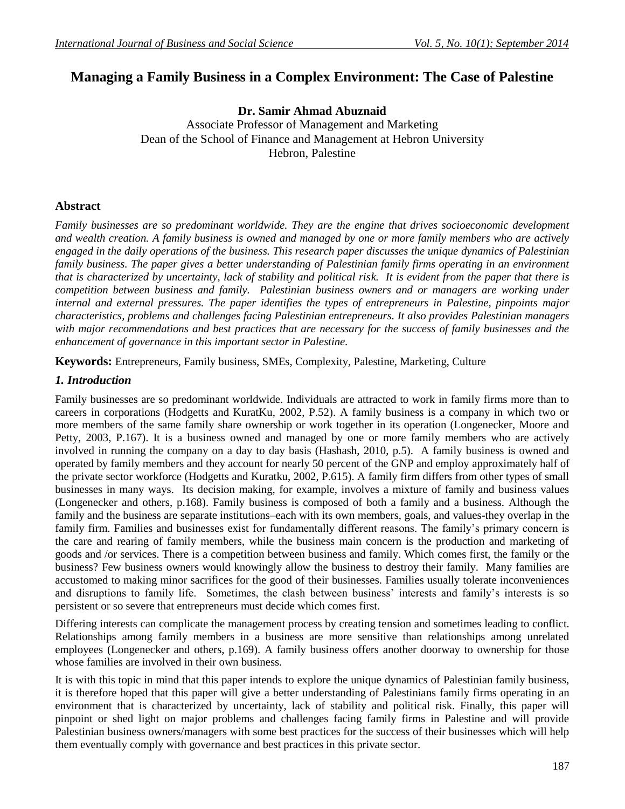# **Managing a Family Business in a Complex Environment: The Case of Palestine**

**Dr. Samir Ahmad Abuznaid** Associate Professor of Management and Marketing Dean of the School of Finance and Management at Hebron University Hebron, Palestine

## **Abstract**

*Family businesses are so predominant worldwide. They are the engine that drives socioeconomic development and wealth creation. A family business is owned and managed by one or more family members who are actively engaged in the daily operations of the business. This research paper discusses the unique dynamics of Palestinian family business. The paper gives a better understanding of Palestinian family firms operating in an environment that is characterized by uncertainty, lack of stability and political risk. It is evident from the paper that there is competition between business and family. Palestinian business owners and or managers are working under internal and external pressures. The paper identifies the types of entrepreneurs in Palestine, pinpoints major characteristics, problems and challenges facing Palestinian entrepreneurs. It also provides Palestinian managers with major recommendations and best practices that are necessary for the success of family businesses and the enhancement of governance in this important sector in Palestine.* 

**Keywords:** Entrepreneurs, Family business, SMEs, Complexity, Palestine, Marketing, Culture

### *1. Introduction*

Family businesses are so predominant worldwide. Individuals are attracted to work in family firms more than to careers in corporations (Hodgetts and KuratKu, 2002, P.52). A family business is a company in which two or more members of the same family share ownership or work together in its operation (Longenecker, Moore and Petty, 2003, P.167). It is a business owned and managed by one or more family members who are actively involved in running the company on a day to day basis (Hashash, 2010, p.5). A family business is owned and operated by family members and they account for nearly 50 percent of the GNP and employ approximately half of the private sector workforce (Hodgetts and Kuratku, 2002, P.615). A family firm differs from other types of small businesses in many ways. Its decision making, for example, involves a mixture of family and business values (Longenecker and others, p.168). Family business is composed of both a family and a business. Although the family and the business are separate institutions–each with its own members, goals, and values-they overlap in the family firm. Families and businesses exist for fundamentally different reasons. The family's primary concern is the care and rearing of family members, while the business main concern is the production and marketing of goods and /or services. There is a competition between business and family. Which comes first, the family or the business? Few business owners would knowingly allow the business to destroy their family. Many families are accustomed to making minor sacrifices for the good of their businesses. Families usually tolerate inconveniences and disruptions to family life. Sometimes, the clash between business' interests and family's interests is so persistent or so severe that entrepreneurs must decide which comes first.

Differing interests can complicate the management process by creating tension and sometimes leading to conflict. Relationships among family members in a business are more sensitive than relationships among unrelated employees (Longenecker and others, p.169). A family business offers another doorway to ownership for those whose families are involved in their own business.

It is with this topic in mind that this paper intends to explore the unique dynamics of Palestinian family business, it is therefore hoped that this paper will give a better understanding of Palestinians family firms operating in an environment that is characterized by uncertainty, lack of stability and political risk. Finally, this paper will pinpoint or shed light on major problems and challenges facing family firms in Palestine and will provide Palestinian business owners/managers with some best practices for the success of their businesses which will help them eventually comply with governance and best practices in this private sector.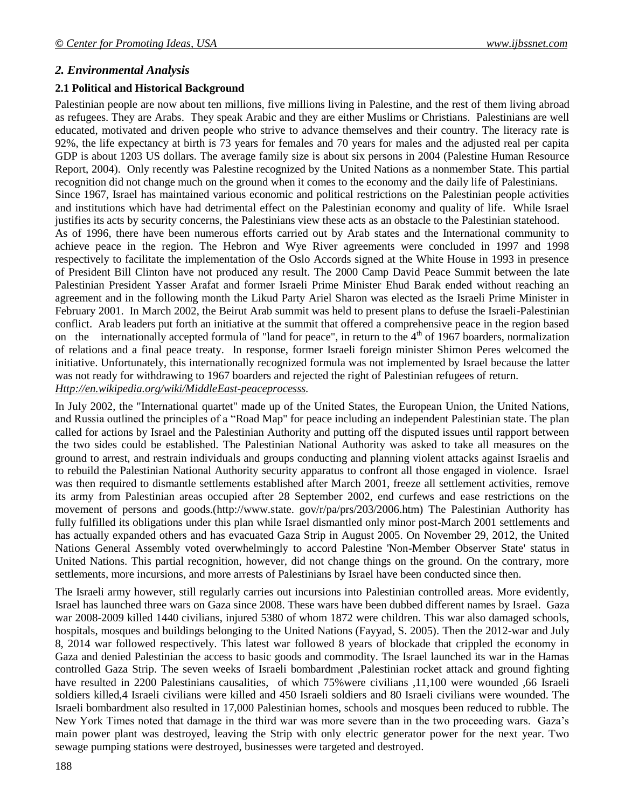### *2. Environmental Analysis*

#### **2.1 Political and Historical Background**

Palestinian people are now about ten millions, five millions living in Palestine, and the rest of them living abroad as refugees. They are Arabs. They speak Arabic and they are either Muslims or Christians. Palestinians are well educated, motivated and driven people who strive to advance themselves and their country. The literacy rate is 92%, the life expectancy at birth is 73 years for females and 70 years for males and the adjusted real per capita GDP is about 1203 US dollars. The average family size is about six persons in 2004 (Palestine Human Resource Report, 2004). Only recently was Palestine recognized by the United Nations as a nonmember State. This partial recognition did not change much on the ground when it comes to the economy and the daily life of Palestinians. Since 1967, Israel has maintained various economic and political restrictions on the Palestinian people activities and institutions which have had detrimental effect on the Palestinian economy and quality of life. While Israel justifies its acts by security concerns, the Palestinians view these acts as an obstacle to the Palestinian statehood. As of 1996, there have been numerous efforts carried out by Arab states and the International community to achieve peace in the region. The Hebron and Wye River agreements were concluded in 1997 and 1998 respectively to facilitate the implementation of the Oslo Accords signed at the White House in 1993 in presence of President Bill Clinton have not produced any result. The 2000 Camp David Peace Summit between the late Palestinian President Yasser Arafat and former Israeli Prime Minister Ehud Barak ended without reaching an agreement and in the following month the Likud Party Ariel Sharon was elected as the Israeli Prime Minister in February 2001. In March 2002, the Beirut Arab summit was held to present plans to defuse the Israeli-Palestinian conflict. Arab leaders put forth an initiative at the summit that offered a comprehensive peace in the region based on the internationally accepted formula of "land for peace", in return to the  $4<sup>th</sup>$  of 1967 boarders, normalization of relations and a final peace treaty. In response, former Israeli foreign minister Shimon Peres welcomed the initiative. Unfortunately, this internationally recognized formula was not implemented by Israel because the latter was not ready for withdrawing to 1967 boarders and rejected the right of Palestinian refugees of return. *[Http://en.wikipedia.org/wiki/MiddleEast-peaceprocesss.](http://en.wikipedia.org/wiki/MiddleEast-peaceprocesss)*

In July 2002, the "International quartet" made up of the United States, the European Union, the United Nations, and Russia outlined the principles of a "Road Map" for peace including an independent Palestinian state. The plan called for actions by Israel and the Palestinian Authority and putting off the disputed issues until rapport between the two sides could be established. The Palestinian National Authority was asked to take all measures on the ground to arrest, and restrain individuals and groups conducting and planning violent attacks against Israelis and to rebuild the Palestinian National Authority security apparatus to confront all those engaged in violence. Israel was then required to dismantle settlements established after March 2001, freeze all settlement activities, remove its army from Palestinian areas occupied after 28 September 2002, end curfews and ease restrictions on the movement of persons and goods.(http://www.state. gov/r/pa/prs/203/2006.htm) The Palestinian Authority has fully fulfilled its obligations under this plan while Israel dismantled only minor post-March 2001 settlements and has actually expanded others and has evacuated Gaza Strip in August 2005. On November 29, 2012, the United Nations General Assembly voted overwhelmingly to accord Palestine 'Non-Member Observer State' status in United Nations. This partial recognition, however, did not change things on the ground. On the contrary, more settlements, more incursions, and more arrests of Palestinians by Israel have been conducted since then.

The Israeli army however, still regularly carries out incursions into Palestinian controlled areas. More evidently, Israel has launched three wars on Gaza since 2008. These wars have been dubbed different names by Israel. Gaza war 2008-2009 killed 1440 civilians, injured 5380 of whom 1872 were children. This war also damaged schools, hospitals, mosques and buildings belonging to the United Nations (Fayyad, S. 2005). Then the 2012-war and July 8, 2014 war followed respectively. This latest war followed 8 years of blockade that crippled the economy in Gaza and denied Palestinian the access to basic goods and commodity. The Israel launched its war in the Hamas controlled Gaza Strip. The seven weeks of Israeli bombardment ,Palestinian rocket attack and ground fighting have resulted in 2200 Palestinians causalities, of which 75%were civilians ,11,100 were wounded ,66 Israeli soldiers killed,4 Israeli civilians were killed and 450 Israeli soldiers and 80 Israeli civilians were wounded. The Israeli bombardment also resulted in 17,000 Palestinian homes, schools and mosques been reduced to rubble. The New York Times noted that damage in the third war was more severe than in the two proceeding wars. Gaza's main power plant was destroyed, leaving the Strip with only electric generator power for the next year. Two sewage pumping stations were destroyed, businesses were targeted and destroyed.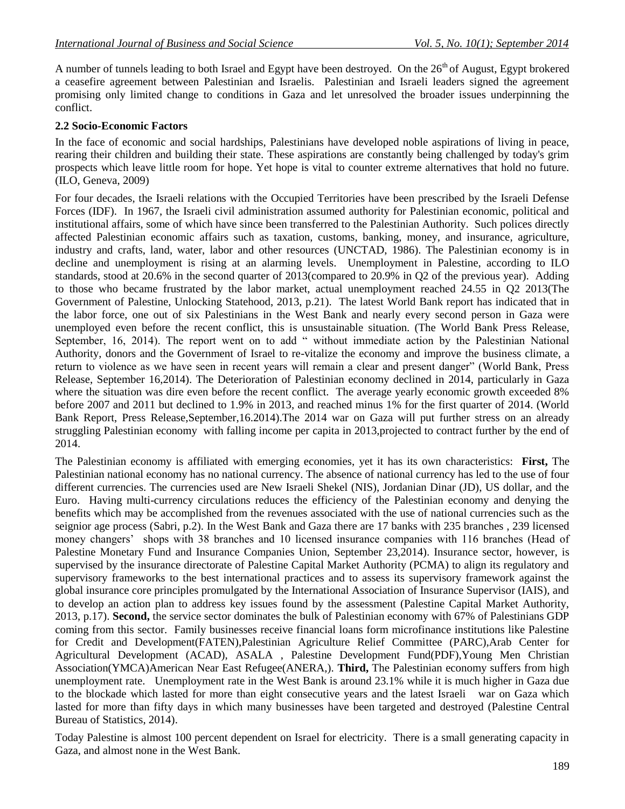A number of tunnels leading to both Israel and Egypt have been destroyed. On the  $26<sup>th</sup>$  of August, Egypt brokered a ceasefire agreement between Palestinian and Israelis. Palestinian and Israeli leaders signed the agreement promising only limited change to conditions in Gaza and let unresolved the broader issues underpinning the conflict.

### **2.2 Socio-Economic Factors**

In the face of economic and social hardships, Palestinians have developed noble aspirations of living in peace, rearing their children and building their state. These aspirations are constantly being challenged by today's grim prospects which leave little room for hope. Yet hope is vital to counter extreme alternatives that hold no future. (ILO, Geneva, 2009)

For four decades, the Israeli relations with the Occupied Territories have been prescribed by the Israeli Defense Forces (IDF). In 1967, the Israeli civil administration assumed authority for Palestinian economic, political and institutional affairs, some of which have since been transferred to the Palestinian Authority. Such polices directly affected Palestinian economic affairs such as taxation, customs, banking, money, and insurance, agriculture, industry and crafts, land, water, labor and other resources (UNCTAD, 1986). The Palestinian economy is in decline and unemployment is rising at an alarming levels. Unemployment in Palestine, according to ILO standards, stood at 20.6% in the second quarter of 2013(compared to 20.9% in Q2 of the previous year). Adding to those who became frustrated by the labor market, actual unemployment reached 24.55 in Q2 2013(The Government of Palestine, Unlocking Statehood, 2013, p.21). The latest World Bank report has indicated that in the labor force, one out of six Palestinians in the West Bank and nearly every second person in Gaza were unemployed even before the recent conflict, this is unsustainable situation. (The World Bank Press Release, September, 16, 2014). The report went on to add " without immediate action by the Palestinian National Authority, donors and the Government of Israel to re-vitalize the economy and improve the business climate, a return to violence as we have seen in recent years will remain a clear and present danger" (World Bank, Press Release, September 16,2014). The Deterioration of Palestinian economy declined in 2014, particularly in Gaza where the situation was dire even before the recent conflict. The average yearly economic growth exceeded 8% before 2007 and 2011 but declined to 1.9% in 2013, and reached minus 1% for the first quarter of 2014. (World Bank Report, Press Release,September,16.2014).The 2014 war on Gaza will put further stress on an already struggling Palestinian economy with falling income per capita in 2013,projected to contract further by the end of 2014.

The Palestinian economy is affiliated with emerging economies, yet it has its own characteristics: **First,** The Palestinian national economy has no national currency. The absence of national currency has led to the use of four different currencies. The currencies used are New Israeli Shekel (NIS), Jordanian Dinar (JD), US dollar, and the Euro. Having multi-currency circulations reduces the efficiency of the Palestinian economy and denying the benefits which may be accomplished from the revenues associated with the use of national currencies such as the seignior age process (Sabri, p.2). In the West Bank and Gaza there are 17 banks with 235 branches , 239 licensed money changers' shops with 38 branches and 10 licensed insurance companies with 116 branches (Head of Palestine Monetary Fund and Insurance Companies Union, September 23,2014). Insurance sector, however, is supervised by the insurance directorate of Palestine Capital Market Authority (PCMA) to align its regulatory and supervisory frameworks to the best international practices and to assess its supervisory framework against the global insurance core principles promulgated by the International Association of Insurance Supervisor (IAIS), and to develop an action plan to address key issues found by the assessment (Palestine Capital Market Authority, 2013, p.17). **Second,** the service sector dominates the bulk of Palestinian economy with 67% of Palestinians GDP coming from this sector. Family businesses receive financial loans form microfinance institutions like Palestine for Credit and Development(FATEN),Palestinian Agriculture Relief Committee (PARC),Arab Center for Agricultural Development (ACAD), ASALA , Palestine Development Fund(PDF),Young Men Christian Association(YMCA)American Near East Refugee(ANERA,). **Third,** The Palestinian economy suffers from high unemployment rate. Unemployment rate in the West Bank is around 23.1% while it is much higher in Gaza due to the blockade which lasted for more than eight consecutive years and the latest Israeli war on Gaza which lasted for more than fifty days in which many businesses have been targeted and destroyed (Palestine Central Bureau of Statistics, 2014).

Today Palestine is almost 100 percent dependent on Israel for electricity. There is a small generating capacity in Gaza, and almost none in the West Bank.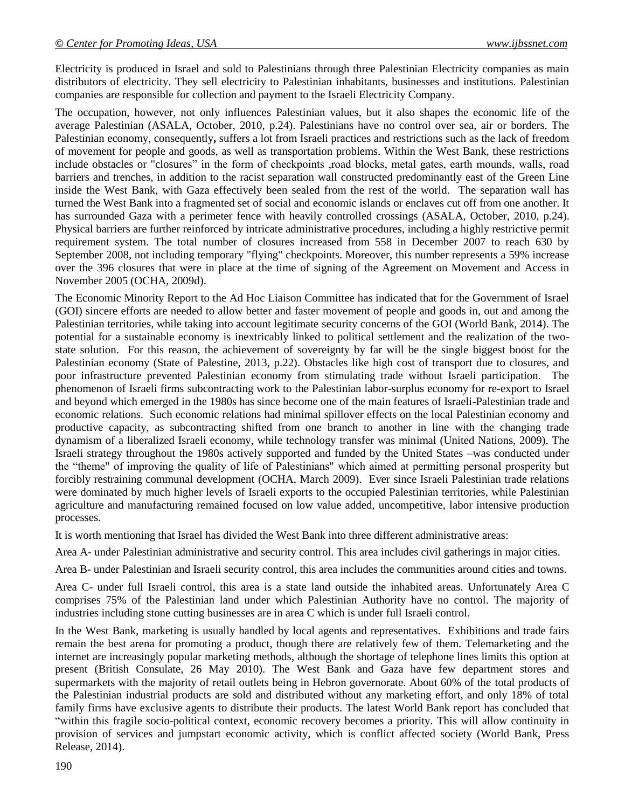Electricity is produced in Israel and sold to Palestinians through three Palestinian Electricity companies as main distributors of electricity. They sell electricity to Palestinian inhabitants, businesses and institutions. Palestinian companies are responsible for collection and payment to the Israeli Electricity Company.

The occupation, however, not only influences Palestinian values, but it also shapes the economic life of the average Palestinian (ASALA, October, 2010, p.24). Palestinians have no control over sea, air or borders. The Palestinian economy, consequently**,** suffers a lot from Israeli practices and restrictions such as the lack of freedom of movement for people and goods, as well as transportation problems. Within the West Bank, these restrictions include obstacles or "closures" in the form of checkpoints ,road blocks, metal gates, earth mounds, walls, road barriers and trenches, in addition to the racist separation wall constructed predominantly east of the Green Line inside the West Bank, with Gaza effectively been sealed from the rest of the world. The separation wall has turned the West Bank into a fragmented set of social and economic islands or enclaves cut off from one another. It has surrounded Gaza with a perimeter fence with heavily controlled crossings (ASALA, October, 2010, p.24). Physical barriers are further reinforced by intricate administrative procedures, including a highly restrictive permit requirement system. The total number of closures increased from 558 in December 2007 to reach 630 by September 2008, not including temporary "flying" checkpoints. Moreover, this number represents a 59% increase over the 396 closures that were in place at the time of signing of the Agreement on Movement and Access in November 2005 (OCHA, 2009d).

The Economic Minority Report to the Ad Hoc Liaison Committee has indicated that for the Government of Israel (GOI) sincere efforts are needed to allow better and faster movement of people and goods in, out and among the Palestinian territories, while taking into account legitimate security concerns of the GOI (World Bank, 2014). The potential for a sustainable economy is inextricably linked to political settlement and the realization of the twostate solution. For this reason, the achievement of sovereignty by far will be the single biggest boost for the Palestinian economy (State of Palestine, 2013, p.22). Obstacles like high cost of transport due to closures, and poor infrastructure prevented Palestinian economy from stimulating trade without Israeli participation. The phenomenon of Israeli firms subcontracting work to the Palestinian labor-surplus economy for re-export to Israel and beyond which emerged in the 1980s has since become one of the main features of Israeli-Palestinian trade and economic relations. Such economic relations had minimal spillover effects on the local Palestinian economy and productive capacity, as subcontracting shifted from one branch to another in line with the changing trade dynamism of a liberalized Israeli economy, while technology transfer was minimal (United Nations, 2009). The Israeli strategy throughout the 1980s actively supported and funded by the United States –was conducted under the "theme" of improving the quality of life of Palestinians" which aimed at permitting personal prosperity but forcibly restraining communal development (OCHA, March 2009). Ever since Israeli Palestinian trade relations were dominated by much higher levels of Israeli exports to the occupied Palestinian territories, while Palestinian agriculture and manufacturing remained focused on low value added, uncompetitive, labor intensive production processes.

It is worth mentioning that Israel has divided the West Bank into three different administrative areas:

Area A- under Palestinian administrative and security control. This area includes civil gatherings in major cities.

Area B- under Palestinian and Israeli security control, this area includes the communities around cities and towns.

Area C- under full Israeli control, this area is a state land outside the inhabited areas. Unfortunately Area C comprises 75% of the Palestinian land under which Palestinian Authority have no control. The majority of industries including stone cutting businesses are in area C which is under full Israeli control.

In the West Bank, marketing is usually handled by local agents and representatives. Exhibitions and trade fairs remain the best arena for promoting a product, though there are relatively few of them. Telemarketing and the internet are increasingly popular marketing methods, although the shortage of telephone lines limits this option at present (British Consulate, 26 May 2010). The West Bank and Gaza have few department stores and supermarkets with the majority of retail outlets being in Hebron governorate. About 60% of the total products of the Palestinian industrial products are sold and distributed without any marketing effort, and only 18% of total family firms have exclusive agents to distribute their products. The latest World Bank report has concluded that "within this fragile socio-political context, economic recovery becomes a priority. This will allow continuity in provision of services and jumpstart economic activity, which is conflict affected society (World Bank, Press Release, 2014).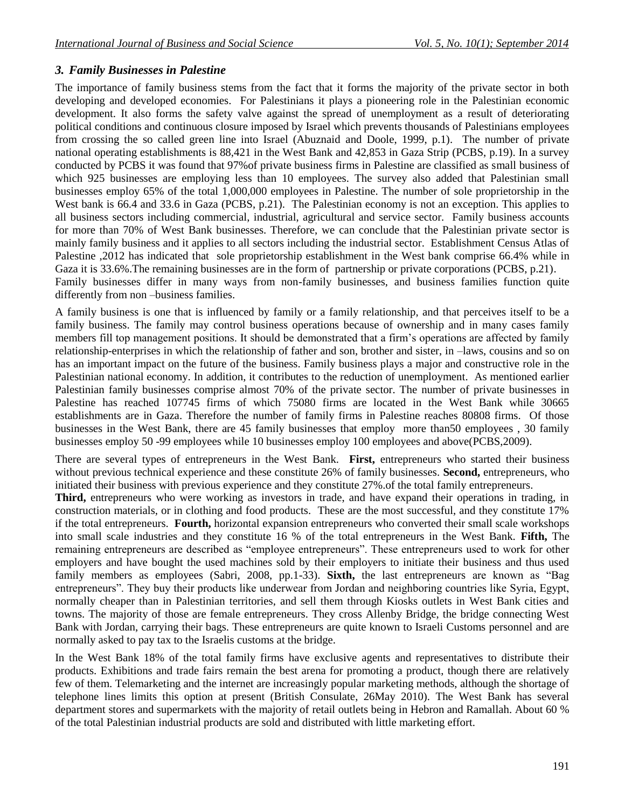## *3. Family Businesses in Palestine*

The importance of family business stems from the fact that it forms the majority of the private sector in both developing and developed economies. For Palestinians it plays a pioneering role in the Palestinian economic development. It also forms the safety valve against the spread of unemployment as a result of deteriorating political conditions and continuous closure imposed by Israel which prevents thousands of Palestinians employees from crossing the so called green line into Israel (Abuznaid and Doole, 1999, p.1). The number of private national operating establishments is 88,421 in the West Bank and 42,853 in Gaza Strip (PCBS, p.19). In a survey conducted by PCBS it was found that 97%of private business firms in Palestine are classified as small business of which 925 businesses are employing less than 10 employees. The survey also added that Palestinian small businesses employ 65% of the total 1,000,000 employees in Palestine. The number of sole proprietorship in the West bank is 66.4 and 33.6 in Gaza (PCBS, p.21). The Palestinian economy is not an exception. This applies to all business sectors including commercial, industrial, agricultural and service sector. Family business accounts for more than 70% of West Bank businesses. Therefore, we can conclude that the Palestinian private sector is mainly family business and it applies to all sectors including the industrial sector. Establishment Census Atlas of Palestine ,2012 has indicated that sole proprietorship establishment in the West bank comprise 66.4% while in Gaza it is 33.6%.The remaining businesses are in the form of partnership or private corporations (PCBS, p.21). Family businesses differ in many ways from non-family businesses, and business families function quite differently from non –business families.

A family business is one that is influenced by family or a family relationship, and that perceives itself to be a family business. The family may control business operations because of ownership and in many cases family members fill top management positions. It should be demonstrated that a firm's operations are affected by family relationship-enterprises in which the relationship of father and son, brother and sister, in –laws, cousins and so on has an important impact on the future of the business. Family business plays a major and constructive role in the Palestinian national economy. In addition, it contributes to the reduction of unemployment. As mentioned earlier Palestinian family businesses comprise almost 70% of the private sector. The number of private businesses in Palestine has reached 107745 firms of which 75080 firms are located in the West Bank while 30665 establishments are in Gaza. Therefore the number of family firms in Palestine reaches 80808 firms. Of those businesses in the West Bank, there are 45 family businesses that employ more than50 employees , 30 family businesses employ 50 -99 employees while 10 businesses employ 100 employees and above(PCBS,2009).

There are several types of entrepreneurs in the West Bank. **First,** entrepreneurs who started their business without previous technical experience and these constitute 26% of family businesses. **Second,** entrepreneurs, who initiated their business with previous experience and they constitute 27%.of the total family entrepreneurs.

**Third,** entrepreneurs who were working as investors in trade, and have expand their operations in trading, in construction materials, or in clothing and food products. These are the most successful, and they constitute 17% if the total entrepreneurs. **Fourth,** horizontal expansion entrepreneurs who converted their small scale workshops into small scale industries and they constitute 16 % of the total entrepreneurs in the West Bank. **Fifth,** The remaining entrepreneurs are described as "employee entrepreneurs". These entrepreneurs used to work for other employers and have bought the used machines sold by their employers to initiate their business and thus used family members as employees (Sabri, 2008, pp.1-33). **Sixth,** the last entrepreneurs are known as "Bag entrepreneurs". They buy their products like underwear from Jordan and neighboring countries like Syria, Egypt, normally cheaper than in Palestinian territories, and sell them through Kiosks outlets in West Bank cities and towns. The majority of those are female entrepreneurs. They cross Allenby Bridge, the bridge connecting West Bank with Jordan, carrying their bags. These entrepreneurs are quite known to Israeli Customs personnel and are normally asked to pay tax to the Israelis customs at the bridge.

In the West Bank 18% of the total family firms have exclusive agents and representatives to distribute their products. Exhibitions and trade fairs remain the best arena for promoting a product, though there are relatively few of them. Telemarketing and the internet are increasingly popular marketing methods, although the shortage of telephone lines limits this option at present (British Consulate, 26May 2010). The West Bank has several department stores and supermarkets with the majority of retail outlets being in Hebron and Ramallah. About 60 % of the total Palestinian industrial products are sold and distributed with little marketing effort.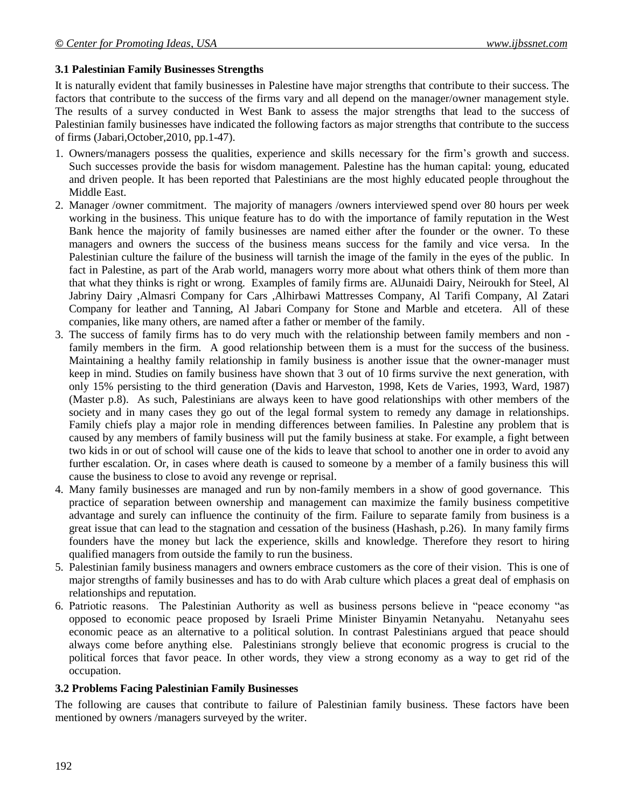#### **3.1 Palestinian Family Businesses Strengths**

It is naturally evident that family businesses in Palestine have major strengths that contribute to their success. The factors that contribute to the success of the firms vary and all depend on the manager/owner management style. The results of a survey conducted in West Bank to assess the major strengths that lead to the success of Palestinian family businesses have indicated the following factors as major strengths that contribute to the success of firms (Jabari,October,2010, pp.1-47).

- 1. Owners/managers possess the qualities, experience and skills necessary for the firm's growth and success. Such successes provide the basis for wisdom management. Palestine has the human capital: young, educated and driven people. It has been reported that Palestinians are the most highly educated people throughout the Middle East.
- 2. Manager /owner commitment. The majority of managers /owners interviewed spend over 80 hours per week working in the business. This unique feature has to do with the importance of family reputation in the West Bank hence the majority of family businesses are named either after the founder or the owner. To these managers and owners the success of the business means success for the family and vice versa. In the Palestinian culture the failure of the business will tarnish the image of the family in the eyes of the public. In fact in Palestine, as part of the Arab world, managers worry more about what others think of them more than that what they thinks is right or wrong. Examples of family firms are. AlJunaidi Dairy, Neiroukh for Steel, Al Jabriny Dairy ,Almasri Company for Cars ,Alhirbawi Mattresses Company, Al Tarifi Company, Al Zatari Company for leather and Tanning, Al Jabari Company for Stone and Marble and etcetera. All of these companies, like many others, are named after a father or member of the family.
- 3. The success of family firms has to do very much with the relationship between family members and non family members in the firm. A good relationship between them is a must for the success of the business. Maintaining a healthy family relationship in family business is another issue that the owner-manager must keep in mind. Studies on family business have shown that 3 out of 10 firms survive the next generation, with only 15% persisting to the third generation (Davis and Harveston, 1998, Kets de Varies, 1993, Ward, 1987) (Master p.8). As such, Palestinians are always keen to have good relationships with other members of the society and in many cases they go out of the legal formal system to remedy any damage in relationships. Family chiefs play a major role in mending differences between families. In Palestine any problem that is caused by any members of family business will put the family business at stake. For example, a fight between two kids in or out of school will cause one of the kids to leave that school to another one in order to avoid any further escalation. Or, in cases where death is caused to someone by a member of a family business this will cause the business to close to avoid any revenge or reprisal.
- 4. Many family businesses are managed and run by non-family members in a show of good governance. This practice of separation between ownership and management can maximize the family business competitive advantage and surely can influence the continuity of the firm. Failure to separate family from business is a great issue that can lead to the stagnation and cessation of the business (Hashash, p.26). In many family firms founders have the money but lack the experience, skills and knowledge. Therefore they resort to hiring qualified managers from outside the family to run the business.
- 5. Palestinian family business managers and owners embrace customers as the core of their vision. This is one of major strengths of family businesses and has to do with Arab culture which places a great deal of emphasis on relationships and reputation.
- 6. Patriotic reasons. The Palestinian Authority as well as business persons believe in "peace economy "as opposed to economic peace proposed by Israeli Prime Minister Binyamin Netanyahu. Netanyahu sees economic peace as an alternative to a political solution. In contrast Palestinians argued that peace should always come before anything else. Palestinians strongly believe that economic progress is crucial to the political forces that favor peace. In other words, they view a strong economy as a way to get rid of the occupation.

#### **3.2 Problems Facing Palestinian Family Businesses**

The following are causes that contribute to failure of Palestinian family business. These factors have been mentioned by owners /managers surveyed by the writer.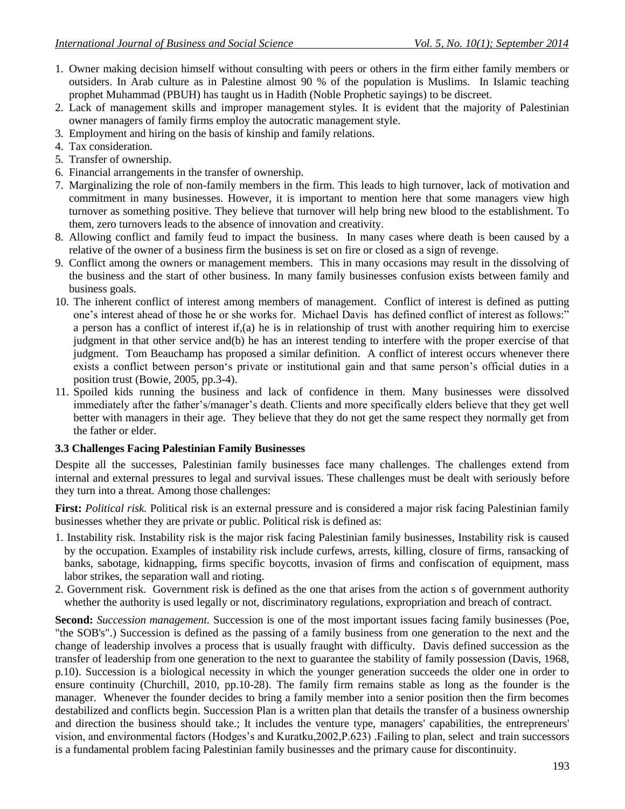- 1. Owner making decision himself without consulting with peers or others in the firm either family members or outsiders. In Arab culture as in Palestine almost 90 % of the population is Muslims. In Islamic teaching prophet Muhammad (PBUH) has taught us in Hadith (Noble Prophetic sayings) to be discreet.
- 2. Lack of management skills and improper management styles. It is evident that the majority of Palestinian owner managers of family firms employ the autocratic management style.
- 3. Employment and hiring on the basis of kinship and family relations.
- 4. Tax consideration.
- 5. Transfer of ownership.
- 6. Financial arrangements in the transfer of ownership.
- 7. Marginalizing the role of non-family members in the firm. This leads to high turnover, lack of motivation and commitment in many businesses. However, it is important to mention here that some managers view high turnover as something positive. They believe that turnover will help bring new blood to the establishment. To them, zero turnovers leads to the absence of innovation and creativity.
- 8. Allowing conflict and family feud to impact the business. In many cases where death is been caused by a relative of the owner of a business firm the business is set on fire or closed as a sign of revenge.
- 9. Conflict among the owners or management members. This in many occasions may result in the dissolving of the business and the start of other business. In many family businesses confusion exists between family and business goals.
- 10. The inherent conflict of interest among members of management. Conflict of interest is defined as putting one's interest ahead of those he or she works for. Michael Davis has defined conflict of interest as follows:" a person has a conflict of interest if,(a) he is in relationship of trust with another requiring him to exercise judgment in that other service and(b) he has an interest tending to interfere with the proper exercise of that judgment. Tom Beauchamp has proposed a similar definition. A conflict of interest occurs whenever there exists a conflict between person's private or institutional gain and that same person's official duties in a position trust (Bowie, 2005, pp.3-4).
- 11. Spoiled kids running the business and lack of confidence in them. Many businesses were dissolved immediately after the father's/manager's death. Clients and more specifically elders believe that they get well better with managers in their age. They believe that they do not get the same respect they normally get from the father or elder.

#### **3.3 Challenges Facing Palestinian Family Businesses**

Despite all the successes, Palestinian family businesses face many challenges. The challenges extend from internal and external pressures to legal and survival issues. These challenges must be dealt with seriously before they turn into a threat. Among those challenges:

**First:** *Political risk.* Political risk is an external pressure and is considered a major risk facing Palestinian family businesses whether they are private or public. Political risk is defined as:

- 1. Instability risk. Instability risk is the major risk facing Palestinian family businesses, Instability risk is caused by the occupation. Examples of instability risk include curfews, arrests, killing, closure of firms, ransacking of banks, sabotage, kidnapping, firms specific boycotts, invasion of firms and confiscation of equipment, mass labor strikes, the separation wall and rioting.
- 2. Government risk. Government risk is defined as the one that arises from the action s of government authority whether the authority is used legally or not, discriminatory regulations, expropriation and breach of contract.

**Second:** *Succession management.* Succession is one of the most important issues facing family businesses (Poe, "the SOB's".) Succession is defined as the passing of a family business from one generation to the next and the change of leadership involves a process that is usually fraught with difficulty. Davis defined succession as the transfer of leadership from one generation to the next to guarantee the stability of family possession (Davis, 1968, p.10). Succession is a biological necessity in which the younger generation succeeds the older one in order to ensure continuity (Churchill, 2010, pp.10-28). The family firm remains stable as long as the founder is the manager. Whenever the founder decides to bring a family member into a senior position then the firm becomes destabilized and conflicts begin. Succession Plan is a written plan that details the transfer of a business ownership and direction the business should take.; It includes the venture type, managers' capabilities, the entrepreneurs' vision, and environmental factors (Hodges's and Kuratku,2002,P.623) .Failing to plan, select and train successors is a fundamental problem facing Palestinian family businesses and the primary cause for discontinuity.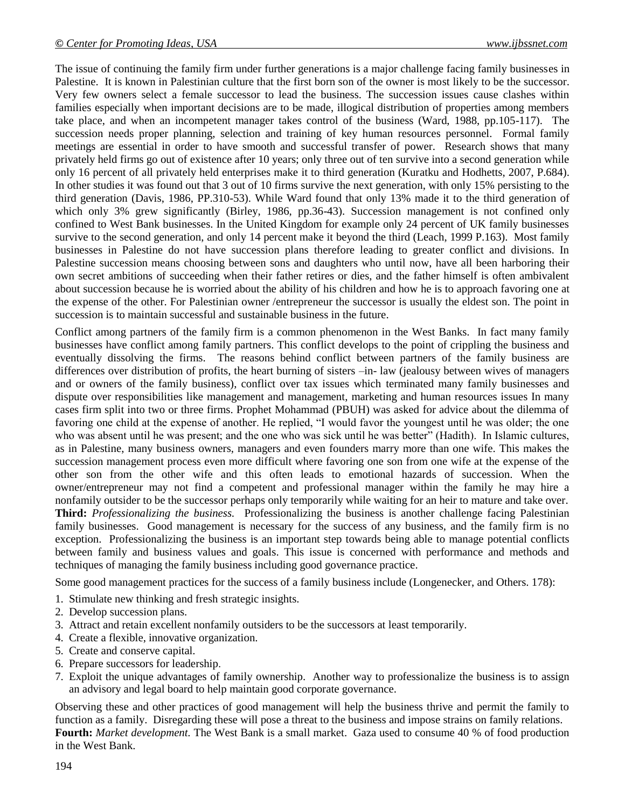The issue of continuing the family firm under further generations is a major challenge facing family businesses in Palestine. It is known in Palestinian culture that the first born son of the owner is most likely to be the successor. Very few owners select a female successor to lead the business. The succession issues cause clashes within families especially when important decisions are to be made, illogical distribution of properties among members take place, and when an incompetent manager takes control of the business (Ward, 1988, pp.105-117). The succession needs proper planning, selection and training of key human resources personnel. Formal family meetings are essential in order to have smooth and successful transfer of power. Research shows that many privately held firms go out of existence after 10 years; only three out of ten survive into a second generation while only 16 percent of all privately held enterprises make it to third generation (Kuratku and Hodhetts, 2007, P.684). In other studies it was found out that 3 out of 10 firms survive the next generation, with only 15% persisting to the third generation (Davis, 1986, PP.310-53). While Ward found that only 13% made it to the third generation of which only 3% grew significantly (Birley, 1986, pp.36-43). Succession management is not confined only confined to West Bank businesses. In the United Kingdom for example only 24 percent of UK family businesses survive to the second generation, and only 14 percent make it beyond the third (Leach, 1999 P.163). Most family businesses in Palestine do not have succession plans therefore leading to greater conflict and divisions. In Palestine succession means choosing between sons and daughters who until now, have all been harboring their own secret ambitions of succeeding when their father retires or dies, and the father himself is often ambivalent about succession because he is worried about the ability of his children and how he is to approach favoring one at the expense of the other. For Palestinian owner /entrepreneur the successor is usually the eldest son. The point in succession is to maintain successful and sustainable business in the future.

Conflict among partners of the family firm is a common phenomenon in the West Banks. In fact many family businesses have conflict among family partners. This conflict develops to the point of crippling the business and eventually dissolving the firms. The reasons behind conflict between partners of the family business are differences over distribution of profits, the heart burning of sisters –in- law (jealousy between wives of managers and or owners of the family business), conflict over tax issues which terminated many family businesses and dispute over responsibilities like management and management, marketing and human resources issues In many cases firm split into two or three firms. Prophet Mohammad (PBUH) was asked for advice about the dilemma of favoring one child at the expense of another. He replied, "I would favor the youngest until he was older; the one who was absent until he was present; and the one who was sick until he was better" (Hadith). In Islamic cultures, as in Palestine, many business owners, managers and even founders marry more than one wife. This makes the succession management process even more difficult where favoring one son from one wife at the expense of the other son from the other wife and this often leads to emotional hazards of succession. When the owner/entrepreneur may not find a competent and professional manager within the family he may hire a nonfamily outsider to be the successor perhaps only temporarily while waiting for an heir to mature and take over. **Third:** *Professionalizing the business.* Professionalizing the business is another challenge facing Palestinian family businesses. Good management is necessary for the success of any business, and the family firm is no exception. Professionalizing the business is an important step towards being able to manage potential conflicts between family and business values and goals. This issue is concerned with performance and methods and techniques of managing the family business including good governance practice.

Some good management practices for the success of a family business include (Longenecker, and Others. 178):

- 1. Stimulate new thinking and fresh strategic insights.
- 2. Develop succession plans.
- 3. Attract and retain excellent nonfamily outsiders to be the successors at least temporarily.
- 4. Create a flexible, innovative organization.
- 5. Create and conserve capital.
- 6. Prepare successors for leadership.
- 7. Exploit the unique advantages of family ownership. Another way to professionalize the business is to assign an advisory and legal board to help maintain good corporate governance.

Observing these and other practices of good management will help the business thrive and permit the family to function as a family. Disregarding these will pose a threat to the business and impose strains on family relations. **Fourth:** *Market development.* The West Bank is a small market. Gaza used to consume 40 % of food production in the West Bank.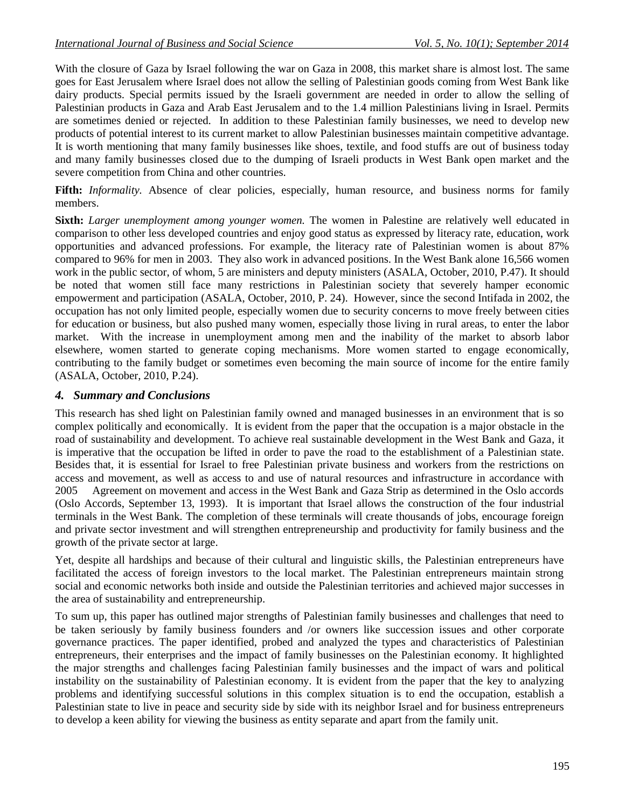With the closure of Gaza by Israel following the war on Gaza in 2008, this market share is almost lost. The same goes for East Jerusalem where Israel does not allow the selling of Palestinian goods coming from West Bank like dairy products. Special permits issued by the Israeli government are needed in order to allow the selling of Palestinian products in Gaza and Arab East Jerusalem and to the 1.4 million Palestinians living in Israel. Permits are sometimes denied or rejected. In addition to these Palestinian family businesses, we need to develop new products of potential interest to its current market to allow Palestinian businesses maintain competitive advantage. It is worth mentioning that many family businesses like shoes, textile, and food stuffs are out of business today and many family businesses closed due to the dumping of Israeli products in West Bank open market and the severe competition from China and other countries.

Fifth: *Informality*. Absence of clear policies, especially, human resource, and business norms for family members.

**Sixth:** *Larger unemployment among younger women.* The women in Palestine are relatively well educated in comparison to other less developed countries and enjoy good status as expressed by literacy rate, education, work opportunities and advanced professions. For example, the literacy rate of Palestinian women is about 87% compared to 96% for men in 2003. They also work in advanced positions. In the West Bank alone 16,566 women work in the public sector, of whom, 5 are ministers and deputy ministers (ASALA, October, 2010, P.47). It should be noted that women still face many restrictions in Palestinian society that severely hamper economic empowerment and participation (ASALA, October, 2010, P. 24). However, since the second Intifada in 2002, the occupation has not only limited people, especially women due to security concerns to move freely between cities for education or business, but also pushed many women, especially those living in rural areas, to enter the labor market. With the increase in unemployment among men and the inability of the market to absorb labor elsewhere, women started to generate coping mechanisms. More women started to engage economically, contributing to the family budget or sometimes even becoming the main source of income for the entire family (ASALA, October, 2010, P.24).

### *4. Summary and Conclusions*

This research has shed light on Palestinian family owned and managed businesses in an environment that is so complex politically and economically. It is evident from the paper that the occupation is a major obstacle in the road of sustainability and development. To achieve real sustainable development in the West Bank and Gaza, it is imperative that the occupation be lifted in order to pave the road to the establishment of a Palestinian state. Besides that, it is essential for Israel to free Palestinian private business and workers from the restrictions on access and movement, as well as access to and use of natural resources and infrastructure in accordance with 2005 Agreement on movement and access in the West Bank and Gaza Strip as determined in the Oslo accords (Oslo Accords, September 13, 1993). It is important that Israel allows the construction of the four industrial terminals in the West Bank. The completion of these terminals will create thousands of jobs, encourage foreign and private sector investment and will strengthen entrepreneurship and productivity for family business and the growth of the private sector at large.

Yet, despite all hardships and because of their cultural and linguistic skills, the Palestinian entrepreneurs have facilitated the access of foreign investors to the local market. The Palestinian entrepreneurs maintain strong social and economic networks both inside and outside the Palestinian territories and achieved major successes in the area of sustainability and entrepreneurship.

To sum up, this paper has outlined major strengths of Palestinian family businesses and challenges that need to be taken seriously by family business founders and /or owners like succession issues and other corporate governance practices. The paper identified, probed and analyzed the types and characteristics of Palestinian entrepreneurs, their enterprises and the impact of family businesses on the Palestinian economy. It highlighted the major strengths and challenges facing Palestinian family businesses and the impact of wars and political instability on the sustainability of Palestinian economy. It is evident from the paper that the key to analyzing problems and identifying successful solutions in this complex situation is to end the occupation, establish a Palestinian state to live in peace and security side by side with its neighbor Israel and for business entrepreneurs to develop a keen ability for viewing the business as entity separate and apart from the family unit.